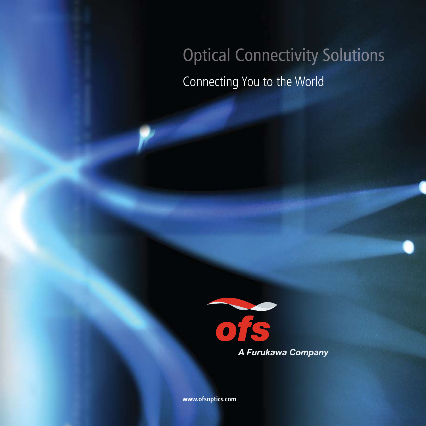# **Optical Connectivity Solutions** Connecting You to the World



**www.ofsoptics.com**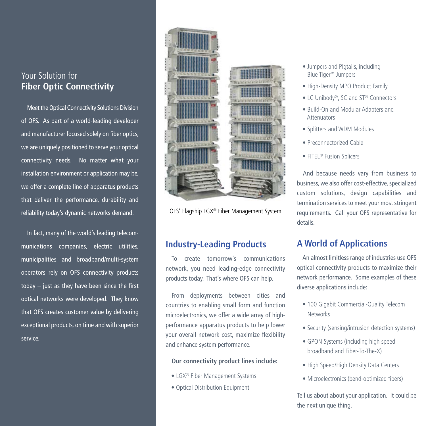# Your Solution for **Fiber Optic Connectivity**

Meet the Optical Connectivity Solutions Division of OFS. As part of a world-leading developer and manufacturer focused solely on fiber optics, we are uniquely positioned to serve your optical connectivity needs. No matter what your installation environment or application may be, we offer a complete line of apparatus products that deliver the performance, durability and reliability today's dynamic networks demand.

In fact, many of the world's leading telecommunications companies, electric utilities, municipalities and broadband/multi-system operators rely on OFS connectivity products today – just as they have been since the first optical networks were developed. They know that OFS creates customer value by delivering exceptional products, on time and with superior service.



OFS' Flagship LGX® Fiber Management System

# **Industry-Leading Products**

To create tomorrow's communications network, you need leading-edge connectivity products today. That's where OFS can help.

From deployments between cities and countries to enabling small form and function microelectronics, we offer a wide array of highperformance apparatus products to help lower your overall network cost, maximize flexibility and enhance system performance.

### **Our connectivity product lines include:**

- LGX® Fiber Management Systems
- Optical Distribution Equipment
- Jumpers and Pigtails, including Blue Tiger ™ Jumpers
- High-Density MPO Product Family
- LC Unibody®, SC and ST® Connectors
- Build-On and Modular Adapters and Attenuators
- Splitters and WDM Modules
- Preconnectorized Cable
- FITEL<sup>®</sup> Fusion Splicers

And because needs vary from business to business, we also offer cost-effective, specialized custom solutions, design capabilities and termination services to meet your most stringent requirements. Call your OFS representative for details.

# **A World of Applications**

An almost limitless range of industries use OFS optical connectivity products to maximize their network performance. Some examples of these diverse applications include:

- 100 Gigabit Commercial-Quality Telecom **Networks**
- Security (sensing/intrusion detection systems)
- GPON Systems (including high speed broadband and Fiber-To-The-X)
- High Speed/High Density Data Centers
- Microelectronics (bend-optimized fibers)

Tell us about about your application. It could be the next unique thing.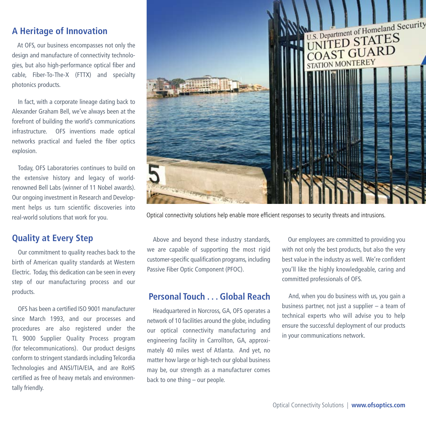# **A Heritage of Innovation**

At OFS, our business encompasses not only the design and manufacture of connectivity technologies, but also high-performance optical fiber and cable, Fiber-To-The-X (FTTX) and specialty photonics products.

In fact, with a corporate lineage dating back to Alexander Graham Bell, we've always been at the forefront of building the world's communications infrastructure. OFS inventions made optical networks practical and fueled the fiber optics explosion.

Today, OFS Laboratories continues to build on the extensive history and legacy of worldrenowned Bell Labs (winner of 11 Nobel awards). Our ongoing investment in Research and Development helps us turn scientific discoveries into real-world solutions that work for you.

# **Quality at Every Step**

Our commitment to quality reaches back to the birth of American quality standards at Western Electric. Today, this dedication can be seen in every step of our manufacturing process and our products.

OFS has been a certified ISO 9001 manufacturer since March 1993, and our processes and procedures are also registered under the TL 9000 Supplier Quality Process program (for telecommunications). Our product designs conform to stringent standards including Telcordia Technologies and ANSI/TIA/EIA, and are RoHS certified as free of heavy metals and environmentally friendly.



Optical connectivity solutions help enable more efficient responses to security threats and intrusions.

Above and beyond these industry standards, we are capable of supporting the most rigid customer-specific qualification programs, including Passive Fiber Optic Component (PFOC).

# **Personal Touch . . . Global Reach**

Headquartered in Norcross, GA, OFS operates a network of 10 facilities around the globe, including our optical connectivity manufacturing and engineering facility in Carrollton, GA, approximately 40 miles west of Atlanta. And yet, no matter how large or high-tech our global business may be, our strength as a manufacturer comes back to one thing – our people.

Our employees are committed to providing you with not only the best products, but also the very best value in the industry as well. We're confident you'll like the highly knowledgeable, caring and committed professionals of OFS.

And, when you do business with us, you gain a business partner, not just a supplier – a team of technical experts who will advise you to help ensure the successful deployment of our products in your communications network.